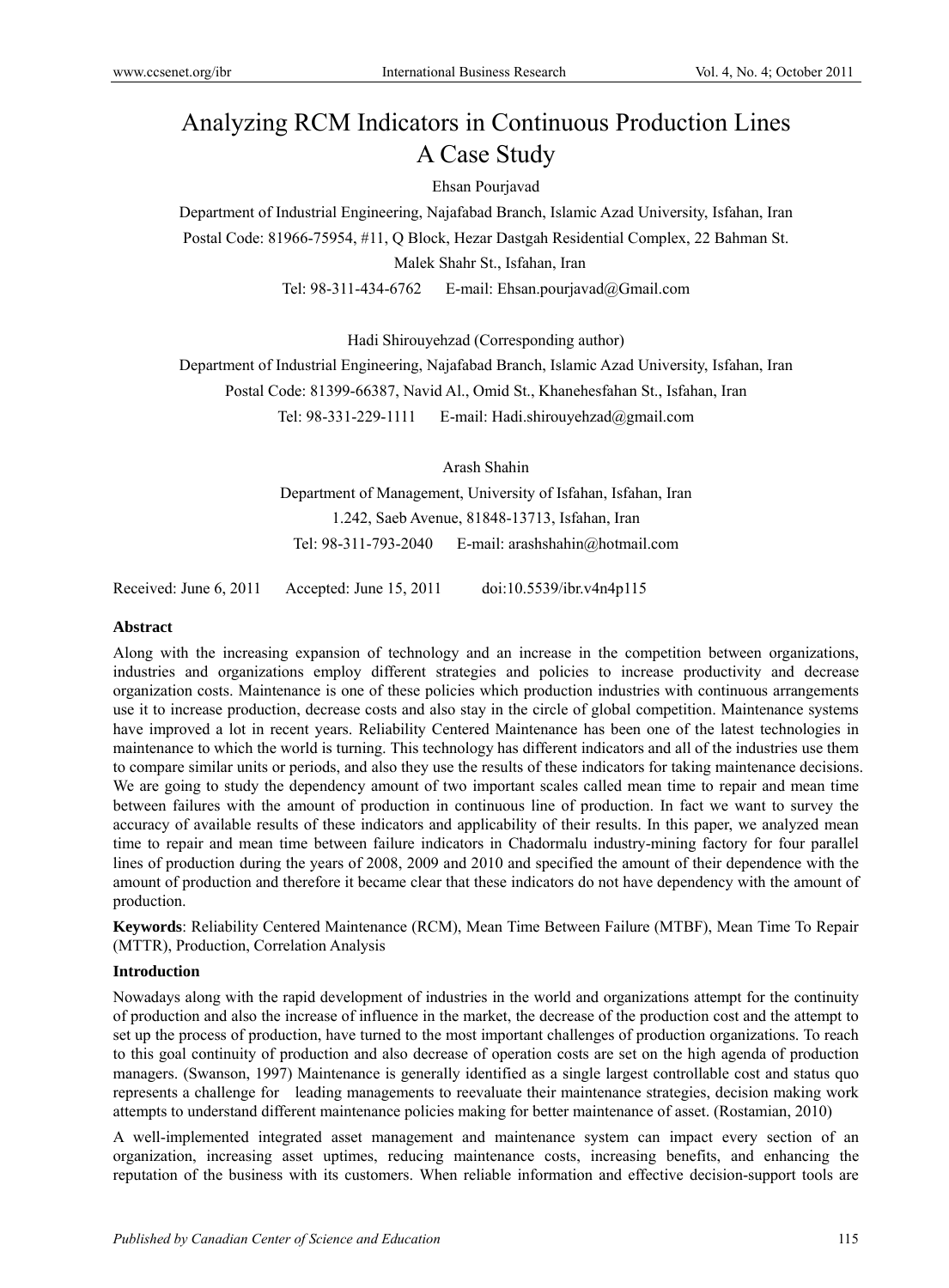# Analyzing RCM Indicators in Continuous Production Lines A Case Study

## Ehsan Pourjavad

Department of Industrial Engineering, Najafabad Branch, Islamic Azad University, Isfahan, Iran Postal Code: 81966-75954, #11, Q Block, Hezar Dastgah Residential Complex, 22 Bahman St. Malek Shahr St., Isfahan, Iran

Tel: 98-311-434-6762 E-mail: Ehsan.pourjavad@Gmail.com

Hadi Shirouyehzad (Corresponding author)

Department of Industrial Engineering, Najafabad Branch, Islamic Azad University, Isfahan, Iran Postal Code: 81399-66387, Navid Al., Omid St., Khanehesfahan St., Isfahan, Iran Tel: 98-331-229-1111 E-mail: Hadi.shirouyehzad@gmail.com

> Arash Shahin Department of Management, University of Isfahan, Isfahan, Iran 1.242, Saeb Avenue, 81848-13713, Isfahan, Iran Tel: 98-311-793-2040 E-mail: arashshahin@hotmail.com

Received: June 6, 2011 Accepted: June 15, 2011 doi:10.5539/ibr.v4n4p115

### **Abstract**

Along with the increasing expansion of technology and an increase in the competition between organizations, industries and organizations employ different strategies and policies to increase productivity and decrease organization costs. Maintenance is one of these policies which production industries with continuous arrangements use it to increase production, decrease costs and also stay in the circle of global competition. Maintenance systems have improved a lot in recent years. Reliability Centered Maintenance has been one of the latest technologies in maintenance to which the world is turning. This technology has different indicators and all of the industries use them to compare similar units or periods, and also they use the results of these indicators for taking maintenance decisions. We are going to study the dependency amount of two important scales called mean time to repair and mean time between failures with the amount of production in continuous line of production. In fact we want to survey the accuracy of available results of these indicators and applicability of their results. In this paper, we analyzed mean time to repair and mean time between failure indicators in Chadormalu industry-mining factory for four parallel lines of production during the years of 2008, 2009 and 2010 and specified the amount of their dependence with the amount of production and therefore it became clear that these indicators do not have dependency with the amount of production.

**Keywords**: Reliability Centered Maintenance (RCM), Mean Time Between Failure (MTBF), Mean Time To Repair (MTTR), Production, Correlation Analysis

## **Introduction**

Nowadays along with the rapid development of industries in the world and organizations attempt for the continuity of production and also the increase of influence in the market, the decrease of the production cost and the attempt to set up the process of production, have turned to the most important challenges of production organizations. To reach to this goal continuity of production and also decrease of operation costs are set on the high agenda of production managers. (Swanson, 1997) Maintenance is generally identified as a single largest controllable cost and status quo represents a challenge for leading managements to reevaluate their maintenance strategies, decision making work attempts to understand different maintenance policies making for better maintenance of asset. (Rostamian, 2010)

A well-implemented integrated asset management and maintenance system can impact every section of an organization, increasing asset uptimes, reducing maintenance costs, increasing benefits, and enhancing the reputation of the business with its customers. When reliable information and effective decision-support tools are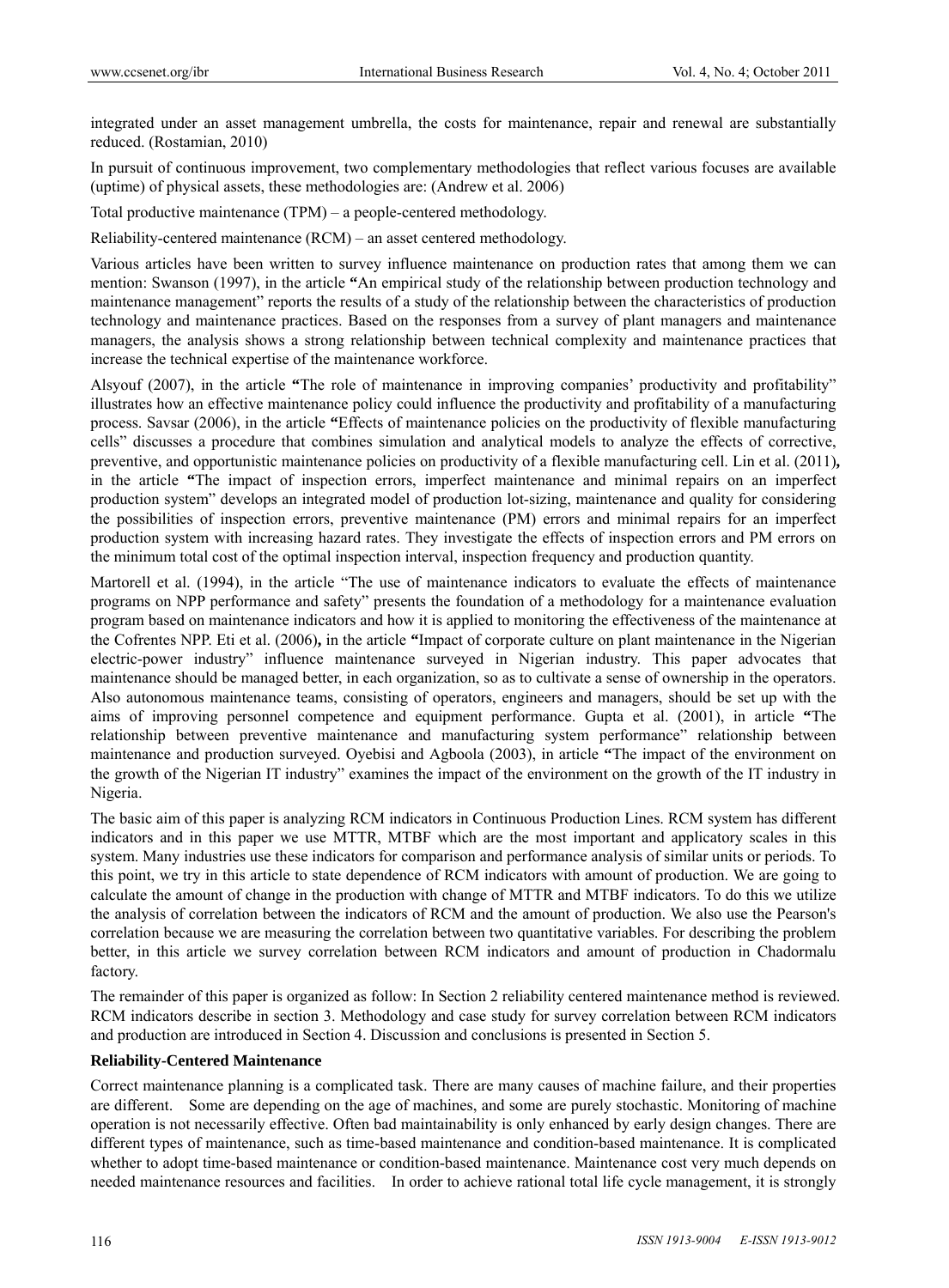integrated under an asset management umbrella, the costs for maintenance, repair and renewal are substantially reduced. (Rostamian, 2010)

In pursuit of continuous improvement, two complementary methodologies that reflect various focuses are available (uptime) of physical assets, these methodologies are: (Andrew et al. 2006)

Total productive maintenance (TPM) – a people-centered methodology.

Reliability-centered maintenance (RCM) – an asset centered methodology.

Various articles have been written to survey influence maintenance on production rates that among them we can mention: Swanson (1997), in the article **"**An empirical study of the relationship between production technology and maintenance management" reports the results of a study of the relationship between the characteristics of production technology and maintenance practices. Based on the responses from a survey of plant managers and maintenance managers, the analysis shows a strong relationship between technical complexity and maintenance practices that increase the technical expertise of the maintenance workforce.

Alsyouf (2007), in the article **"**The role of maintenance in improving companies' productivity and profitability" illustrates how an effective maintenance policy could influence the productivity and profitability of a manufacturing process. Savsar (2006), in the article **"**Effects of maintenance policies on the productivity of flexible manufacturing cells" discusses a procedure that combines simulation and analytical models to analyze the effects of corrective, preventive, and opportunistic maintenance policies on productivity of a flexible manufacturing cell. Lin et al. (2011)**,**  in the article **"**The impact of inspection errors, imperfect maintenance and minimal repairs on an imperfect production system" develops an integrated model of production lot-sizing, maintenance and quality for considering the possibilities of inspection errors, preventive maintenance (PM) errors and minimal repairs for an imperfect production system with increasing hazard rates. They investigate the effects of inspection errors and PM errors on the minimum total cost of the optimal inspection interval, inspection frequency and production quantity.

Martorell et al. (1994), in the article "The use of maintenance indicators to evaluate the effects of maintenance programs on NPP performance and safety" presents the foundation of a methodology for a maintenance evaluation program based on maintenance indicators and how it is applied to monitoring the effectiveness of the maintenance at the Cofrentes NPP. Eti et al. (2006)**,** in the article **"**Impact of corporate culture on plant maintenance in the Nigerian electric-power industry" influence maintenance surveyed in Nigerian industry. This paper advocates that maintenance should be managed better, in each organization, so as to cultivate a sense of ownership in the operators. Also autonomous maintenance teams, consisting of operators, engineers and managers, should be set up with the aims of improving personnel competence and equipment performance. Gupta et al. (2001), in article **"**The relationship between preventive maintenance and manufacturing system performance" relationship between maintenance and production surveyed. Oyebisi and Agboola (2003), in article **"**The impact of the environment on the growth of the Nigerian IT industry" examines the impact of the environment on the growth of the IT industry in Nigeria.

The basic aim of this paper is analyzing RCM indicators in Continuous Production Lines. RCM system has different indicators and in this paper we use MTTR, MTBF which are the most important and applicatory scales in this system. Many industries use these indicators for comparison and performance analysis of similar units or periods. To this point, we try in this article to state dependence of RCM indicators with amount of production. We are going to calculate the amount of change in the production with change of MTTR and MTBF indicators. To do this we utilize the analysis of correlation between the indicators of RCM and the amount of production. We also use the Pearson's correlation because we are measuring the correlation between two quantitative variables. For describing the problem better, in this article we survey correlation between RCM indicators and amount of production in Chadormalu factory.

The remainder of this paper is organized as follow: In Section 2 reliability centered maintenance method is reviewed. RCM indicators describe in section 3. Methodology and case study for survey correlation between RCM indicators and production are introduced in Section 4. Discussion and conclusions is presented in Section 5.

#### **Reliability-Centered Maintenance**

Correct maintenance planning is a complicated task. There are many causes of machine failure, and their properties are different. Some are depending on the age of machines, and some are purely stochastic. Monitoring of machine operation is not necessarily effective. Often bad maintainability is only enhanced by early design changes. There are different types of maintenance, such as time-based maintenance and condition-based maintenance. It is complicated whether to adopt time-based maintenance or condition-based maintenance. Maintenance cost very much depends on needed maintenance resources and facilities. In order to achieve rational total life cycle management, it is strongly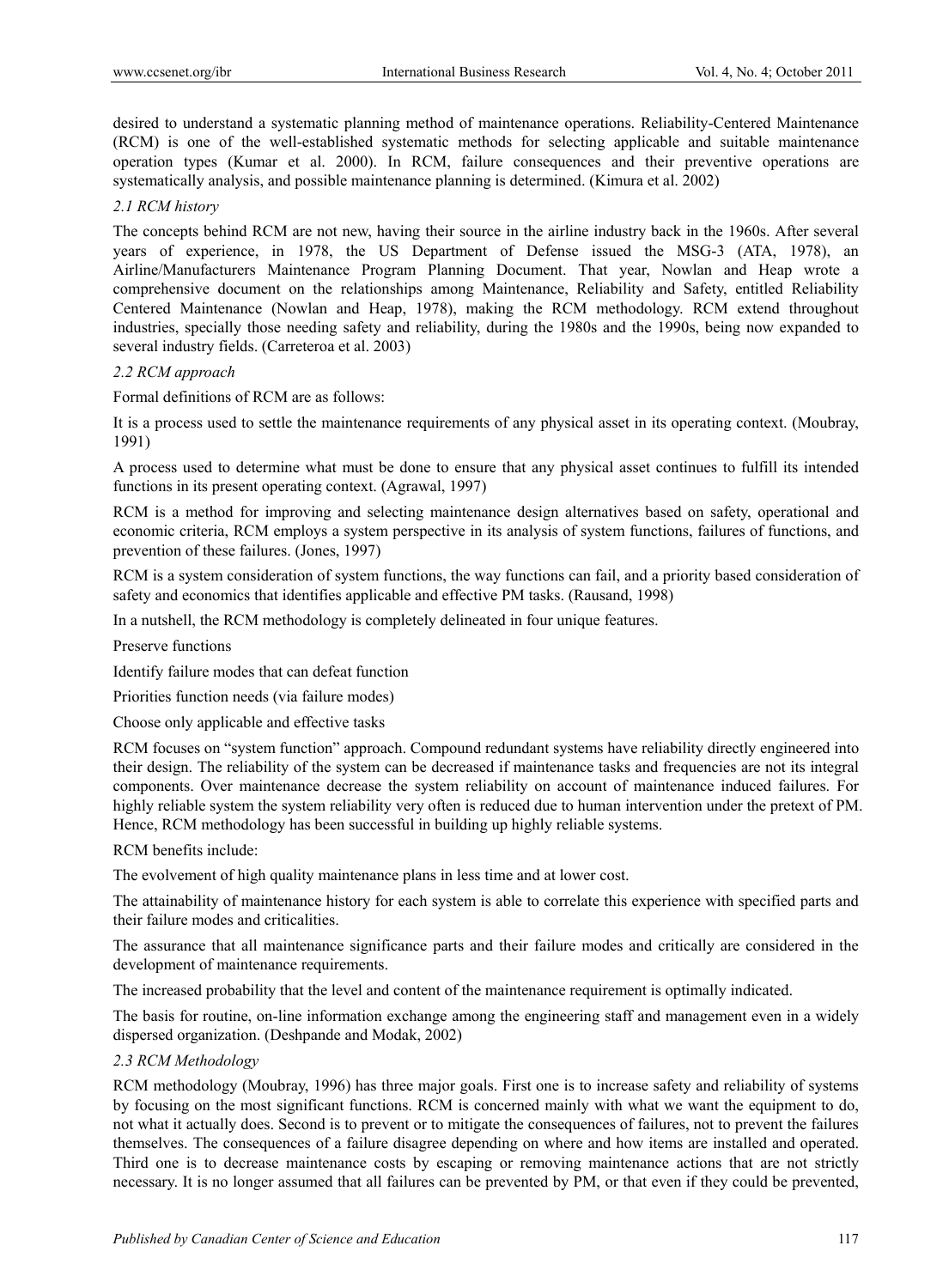desired to understand a systematic planning method of maintenance operations. Reliability-Centered Maintenance (RCM) is one of the well-established systematic methods for selecting applicable and suitable maintenance operation types (Kumar et al. 2000). In RCM, failure consequences and their preventive operations are systematically analysis, and possible maintenance planning is determined. (Kimura et al. 2002)

### *2.1 RCM history*

The concepts behind RCM are not new, having their source in the airline industry back in the 1960s. After several years of experience, in 1978, the US Department of Defense issued the MSG-3 (ATA, 1978), an Airline/Manufacturers Maintenance Program Planning Document. That year, Nowlan and Heap wrote a comprehensive document on the relationships among Maintenance, Reliability and Safety, entitled Reliability Centered Maintenance (Nowlan and Heap, 1978), making the RCM methodology. RCM extend throughout industries, specially those needing safety and reliability, during the 1980s and the 1990s, being now expanded to several industry fields. (Carreteroa et al. 2003)

### *2.2 RCM approach*

Formal definitions of RCM are as follows:

It is a process used to settle the maintenance requirements of any physical asset in its operating context. (Moubray, 1991)

A process used to determine what must be done to ensure that any physical asset continues to fulfill its intended functions in its present operating context. (Agrawal, 1997)

RCM is a method for improving and selecting maintenance design alternatives based on safety, operational and economic criteria, RCM employs a system perspective in its analysis of system functions, failures of functions, and prevention of these failures. (Jones, 1997)

RCM is a system consideration of system functions, the way functions can fail, and a priority based consideration of safety and economics that identifies applicable and effective PM tasks. (Rausand, 1998)

In a nutshell, the RCM methodology is completely delineated in four unique features.

Preserve functions

Identify failure modes that can defeat function

Priorities function needs (via failure modes)

Choose only applicable and effective tasks

RCM focuses on "system function" approach. Compound redundant systems have reliability directly engineered into their design. The reliability of the system can be decreased if maintenance tasks and frequencies are not its integral components. Over maintenance decrease the system reliability on account of maintenance induced failures. For highly reliable system the system reliability very often is reduced due to human intervention under the pretext of PM. Hence, RCM methodology has been successful in building up highly reliable systems.

RCM benefits include:

The evolvement of high quality maintenance plans in less time and at lower cost.

The attainability of maintenance history for each system is able to correlate this experience with specified parts and their failure modes and criticalities.

The assurance that all maintenance significance parts and their failure modes and critically are considered in the development of maintenance requirements.

The increased probability that the level and content of the maintenance requirement is optimally indicated.

The basis for routine, on-line information exchange among the engineering staff and management even in a widely dispersed organization. (Deshpande and Modak, 2002)

### *2.3 RCM Methodology*

RCM methodology (Moubray, 1996) has three major goals. First one is to increase safety and reliability of systems by focusing on the most significant functions. RCM is concerned mainly with what we want the equipment to do, not what it actually does. Second is to prevent or to mitigate the consequences of failures, not to prevent the failures themselves. The consequences of a failure disagree depending on where and how items are installed and operated. Third one is to decrease maintenance costs by escaping or removing maintenance actions that are not strictly necessary. It is no longer assumed that all failures can be prevented by PM, or that even if they could be prevented,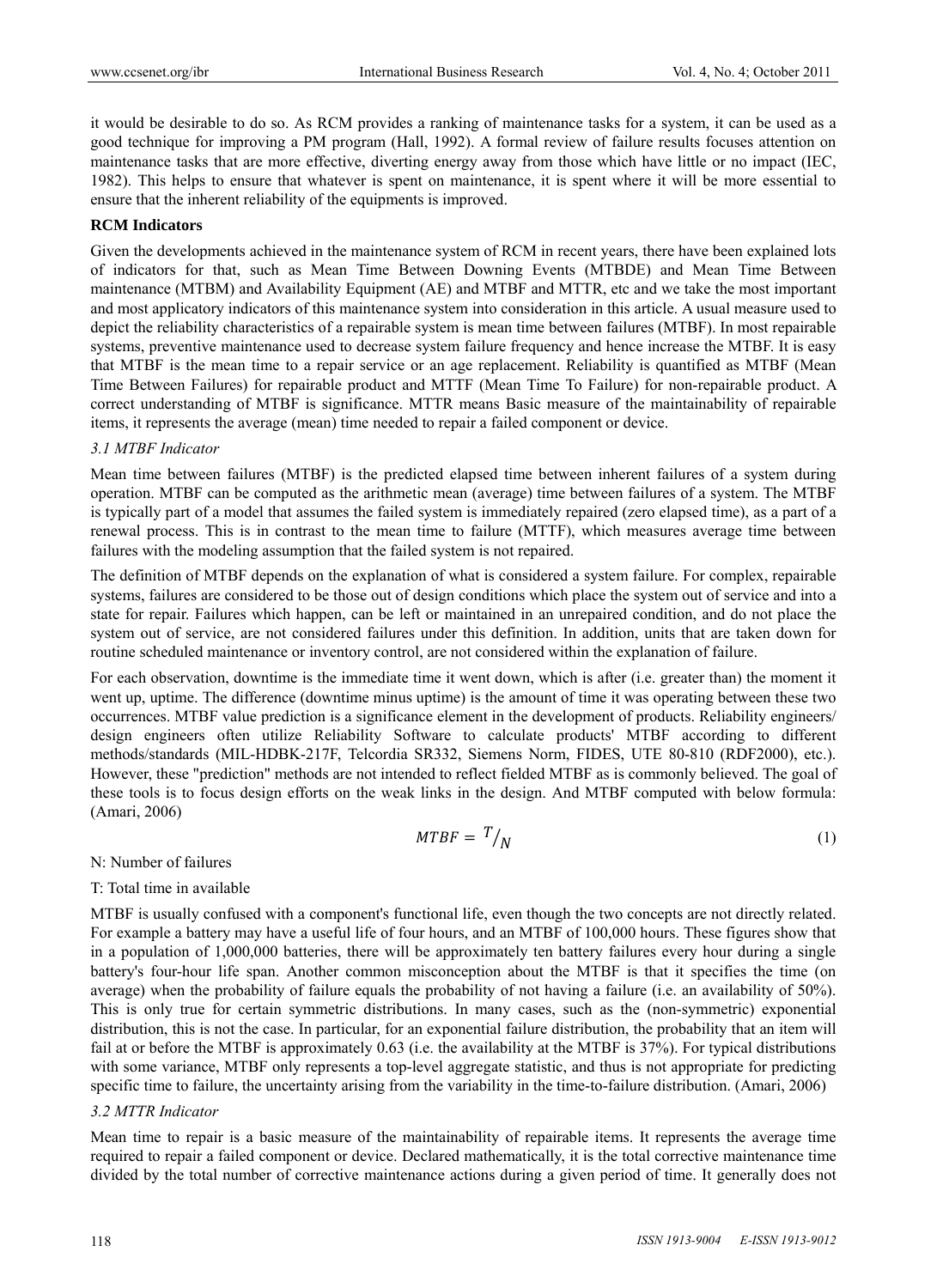it would be desirable to do so. As RCM provides a ranking of maintenance tasks for a system, it can be used as a good technique for improving a PM program (Hall, 1992). A formal review of failure results focuses attention on maintenance tasks that are more effective, diverting energy away from those which have little or no impact (IEC, 1982). This helps to ensure that whatever is spent on maintenance, it is spent where it will be more essential to ensure that the inherent reliability of the equipments is improved.

## **RCM Indicators**

Given the developments achieved in the maintenance system of RCM in recent years, there have been explained lots of indicators for that, such as Mean Time Between Downing Events (MTBDE) and Mean Time Between maintenance (MTBM) and Availability Equipment (AE) and MTBF and MTTR, etc and we take the most important and most applicatory indicators of this maintenance system into consideration in this article. A usual measure used to depict the reliability characteristics of a repairable system is mean time between failures (MTBF). In most repairable systems, preventive maintenance used to decrease system failure frequency and hence increase the MTBF. It is easy that MTBF is the mean time to a repair service or an age replacement. Reliability is quantified as MTBF (Mean Time Between Failures) for repairable product and MTTF (Mean Time To Failure) for non-repairable product. A correct understanding of MTBF is significance. MTTR means Basic measure of the maintainability of repairable items, it represents the average (mean) time needed to repair a failed component or device.

### *3.1 MTBF Indicator*

Mean time between failures (MTBF) is the predicted elapsed time between inherent failures of a system during operation. MTBF can be computed as the arithmetic mean (average) time between failures of a system. The MTBF is typically part of a model that assumes the failed system is immediately repaired (zero elapsed time), as a part of a renewal process. This is in contrast to the mean time to failure (MTTF), which measures average time between failures with the modeling assumption that the failed system is not repaired.

The definition of MTBF depends on the explanation of what is considered a system failure. For complex, repairable systems, failures are considered to be those out of design conditions which place the system out of service and into a state for repair. Failures which happen, can be left or maintained in an unrepaired condition, and do not place the system out of service, are not considered failures under this definition. In addition, units that are taken down for routine scheduled maintenance or inventory control, are not considered within the explanation of failure.

For each observation, downtime is the immediate time it went down, which is after (i.e. greater than) the moment it went up, uptime. The difference (downtime minus uptime) is the amount of time it was operating between these two occurrences. MTBF value prediction is a significance element in the development of products. Reliability engineers/ design engineers often utilize Reliability Software to calculate products' MTBF according to different methods/standards (MIL-HDBK-217F, Telcordia SR332, Siemens Norm, FIDES, UTE 80-810 (RDF2000), etc.). However, these "prediction" methods are not intended to reflect fielded MTBF as is commonly believed. The goal of these tools is to focus design efforts on the weak links in the design. And MTBF computed with below formula: (Amari, 2006)

$$
MTBF = T / N \tag{1}
$$

#### N: Number of failures

### T: Total time in available

MTBF is usually confused with a component's functional life, even though the two concepts are not directly related. For example a battery may have a useful life of four hours, and an MTBF of 100,000 hours. These figures show that in a population of 1,000,000 batteries, there will be approximately ten battery failures every hour during a single battery's four-hour life span. Another common misconception about the MTBF is that it specifies the time (on average) when the probability of failure equals the probability of not having a failure (i.e. an availability of 50%). This is only true for certain symmetric distributions. In many cases, such as the (non-symmetric) exponential distribution, this is not the case. In particular, for an exponential failure distribution, the probability that an item will fail at or before the MTBF is approximately 0.63 (i.e. the availability at the MTBF is 37%). For typical distributions with some variance, MTBF only represents a top-level aggregate statistic, and thus is not appropriate for predicting specific time to failure, the uncertainty arising from the variability in the time-to-failure distribution. (Amari, 2006)

#### *3.2 MTTR Indicator*

Mean time to repair is a basic measure of the maintainability of repairable items. It represents the average time required to repair a failed component or device. Declared mathematically, it is the total corrective maintenance time divided by the total number of corrective maintenance actions during a given period of time. It generally does not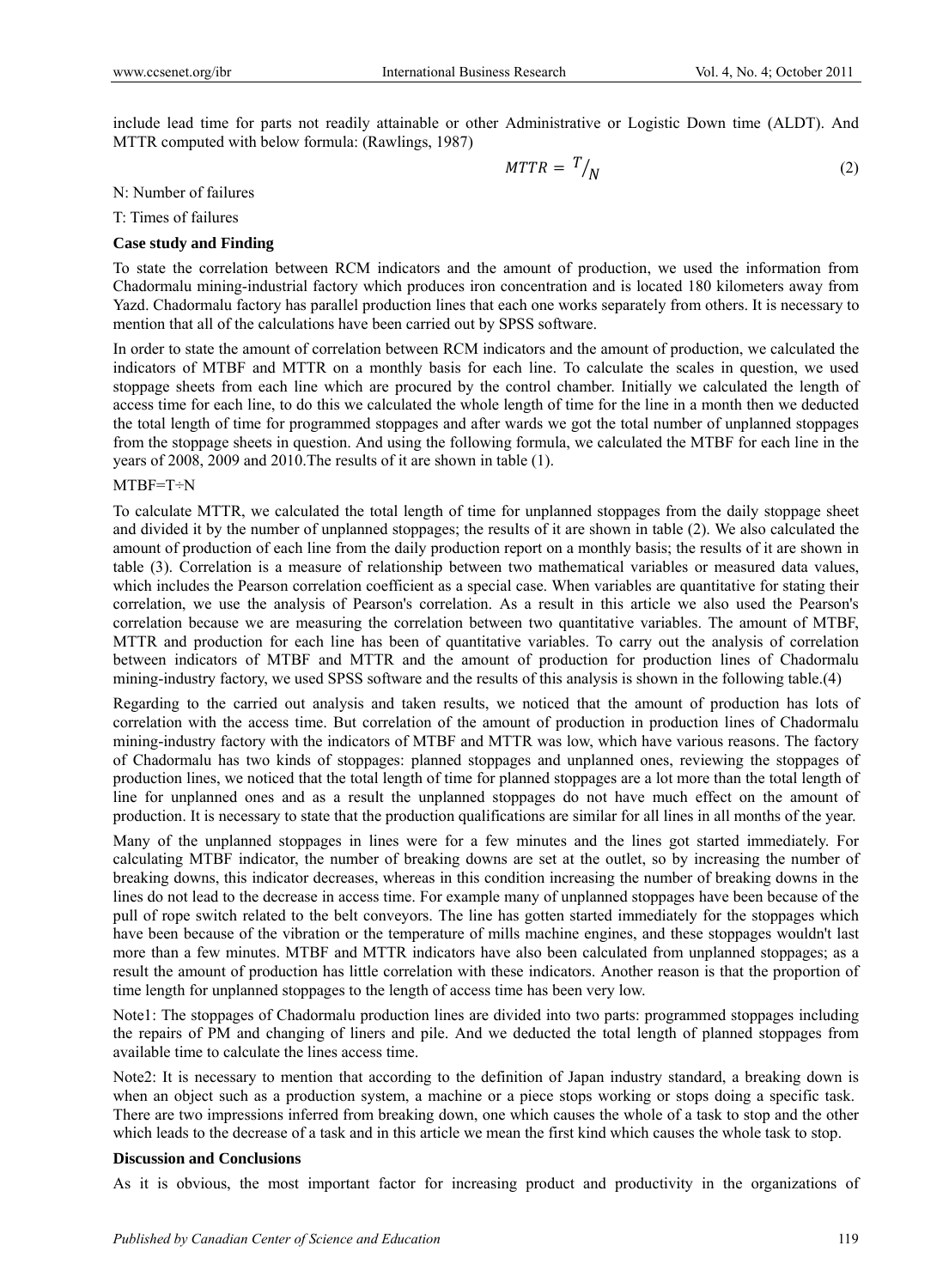include lead time for parts not readily attainable or other Administrative or Logistic Down time (ALDT). And MTTR computed with below formula: (Rawlings, 1987)

$$
MTTR = T / N \tag{2}
$$

#### N: Number of failures

T: Times of failures

#### **Case study and Finding**

To state the correlation between RCM indicators and the amount of production, we used the information from Chadormalu mining-industrial factory which produces iron concentration and is located 180 kilometers away from Yazd. Chadormalu factory has parallel production lines that each one works separately from others. It is necessary to mention that all of the calculations have been carried out by SPSS software.

In order to state the amount of correlation between RCM indicators and the amount of production, we calculated the indicators of MTBF and MTTR on a monthly basis for each line. To calculate the scales in question, we used stoppage sheets from each line which are procured by the control chamber. Initially we calculated the length of access time for each line, to do this we calculated the whole length of time for the line in a month then we deducted the total length of time for programmed stoppages and after wards we got the total number of unplanned stoppages from the stoppage sheets in question. And using the following formula, we calculated the MTBF for each line in the years of 2008, 2009 and 2010.The results of it are shown in table (1).

### MTBF=T÷N

To calculate MTTR, we calculated the total length of time for unplanned stoppages from the daily stoppage sheet and divided it by the number of unplanned stoppages; the results of it are shown in table (2). We also calculated the amount of production of each line from the daily production report on a monthly basis; the results of it are shown in table (3). Correlation is a measure of relationship between two mathematical variables or measured data values, which includes the Pearson correlation coefficient as a special case. When variables are quantitative for stating their correlation, we use the analysis of Pearson's correlation. As a result in this article we also used the Pearson's correlation because we are measuring the correlation between two quantitative variables. The amount of MTBF, MTTR and production for each line has been of quantitative variables. To carry out the analysis of correlation between indicators of MTBF and MTTR and the amount of production for production lines of Chadormalu mining-industry factory, we used SPSS software and the results of this analysis is shown in the following table.(4)

Regarding to the carried out analysis and taken results, we noticed that the amount of production has lots of correlation with the access time. But correlation of the amount of production in production lines of Chadormalu mining-industry factory with the indicators of MTBF and MTTR was low, which have various reasons. The factory of Chadormalu has two kinds of stoppages: planned stoppages and unplanned ones, reviewing the stoppages of production lines, we noticed that the total length of time for planned stoppages are a lot more than the total length of line for unplanned ones and as a result the unplanned stoppages do not have much effect on the amount of production. It is necessary to state that the production qualifications are similar for all lines in all months of the year.

Many of the unplanned stoppages in lines were for a few minutes and the lines got started immediately. For calculating MTBF indicator, the number of breaking downs are set at the outlet, so by increasing the number of breaking downs, this indicator decreases, whereas in this condition increasing the number of breaking downs in the lines do not lead to the decrease in access time. For example many of unplanned stoppages have been because of the pull of rope switch related to the belt conveyors. The line has gotten started immediately for the stoppages which have been because of the vibration or the temperature of mills machine engines, and these stoppages wouldn't last more than a few minutes. MTBF and MTTR indicators have also been calculated from unplanned stoppages; as a result the amount of production has little correlation with these indicators. Another reason is that the proportion of time length for unplanned stoppages to the length of access time has been very low.

Note1: The stoppages of Chadormalu production lines are divided into two parts: programmed stoppages including the repairs of PM and changing of liners and pile. And we deducted the total length of planned stoppages from available time to calculate the lines access time.

Note2: It is necessary to mention that according to the definition of Japan industry standard, a breaking down is when an object such as a production system, a machine or a piece stops working or stops doing a specific task. There are two impressions inferred from breaking down, one which causes the whole of a task to stop and the other which leads to the decrease of a task and in this article we mean the first kind which causes the whole task to stop.

### **Discussion and Conclusions**

As it is obvious, the most important factor for increasing product and productivity in the organizations of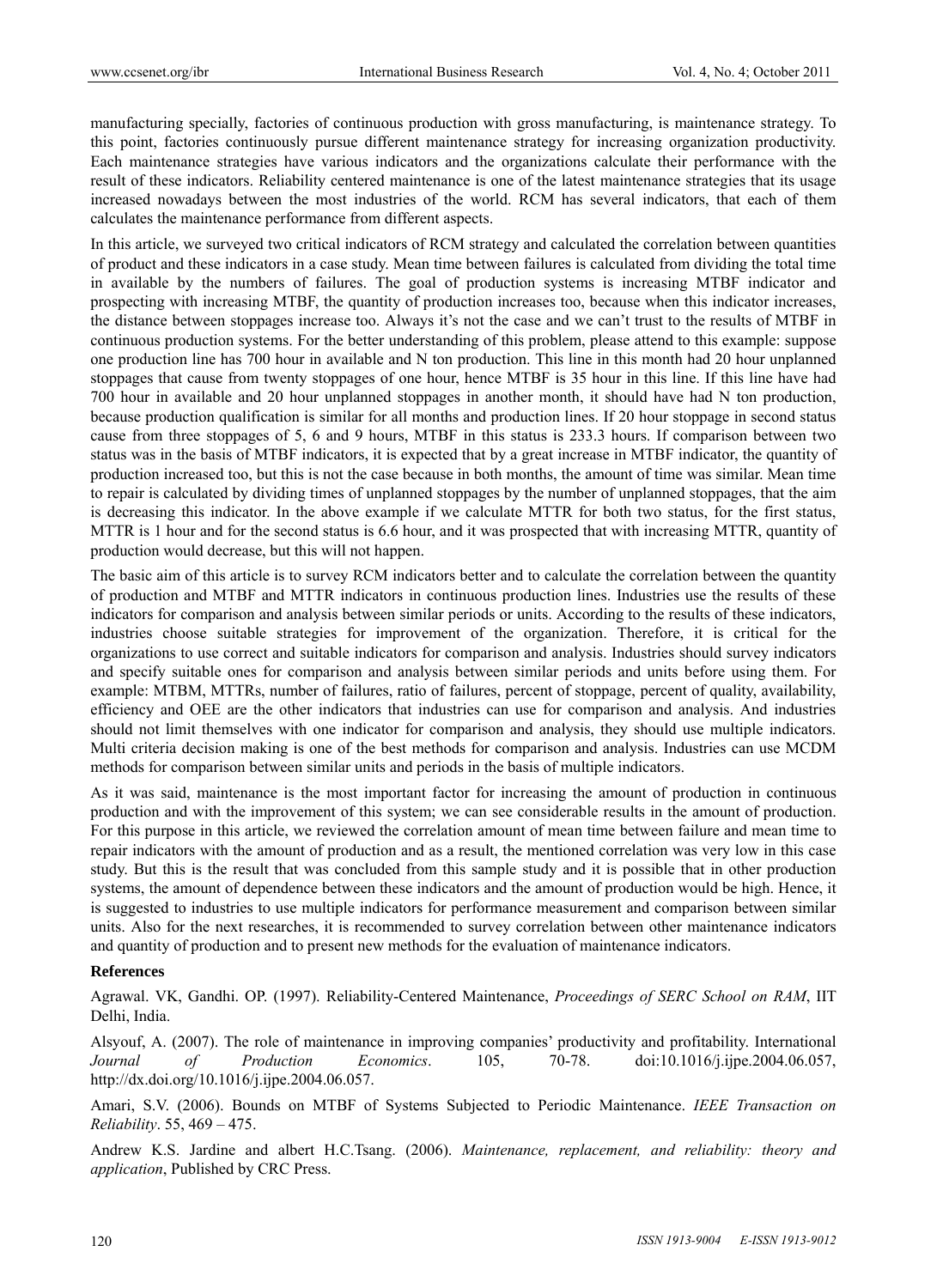manufacturing specially, factories of continuous production with gross manufacturing, is maintenance strategy. To this point, factories continuously pursue different maintenance strategy for increasing organization productivity. Each maintenance strategies have various indicators and the organizations calculate their performance with the result of these indicators. Reliability centered maintenance is one of the latest maintenance strategies that its usage increased nowadays between the most industries of the world. RCM has several indicators, that each of them calculates the maintenance performance from different aspects.

In this article, we surveyed two critical indicators of RCM strategy and calculated the correlation between quantities of product and these indicators in a case study. Mean time between failures is calculated from dividing the total time in available by the numbers of failures. The goal of production systems is increasing MTBF indicator and prospecting with increasing MTBF, the quantity of production increases too, because when this indicator increases, the distance between stoppages increase too. Always it's not the case and we can't trust to the results of MTBF in continuous production systems. For the better understanding of this problem, please attend to this example: suppose one production line has 700 hour in available and N ton production. This line in this month had 20 hour unplanned stoppages that cause from twenty stoppages of one hour, hence MTBF is 35 hour in this line. If this line have had 700 hour in available and 20 hour unplanned stoppages in another month, it should have had N ton production, because production qualification is similar for all months and production lines. If 20 hour stoppage in second status cause from three stoppages of 5, 6 and 9 hours, MTBF in this status is 233.3 hours. If comparison between two status was in the basis of MTBF indicators, it is expected that by a great increase in MTBF indicator, the quantity of production increased too, but this is not the case because in both months, the amount of time was similar. Mean time to repair is calculated by dividing times of unplanned stoppages by the number of unplanned stoppages, that the aim is decreasing this indicator. In the above example if we calculate MTTR for both two status, for the first status, MTTR is 1 hour and for the second status is 6.6 hour, and it was prospected that with increasing MTTR, quantity of production would decrease, but this will not happen.

The basic aim of this article is to survey RCM indicators better and to calculate the correlation between the quantity of production and MTBF and MTTR indicators in continuous production lines. Industries use the results of these indicators for comparison and analysis between similar periods or units. According to the results of these indicators, industries choose suitable strategies for improvement of the organization. Therefore, it is critical for the organizations to use correct and suitable indicators for comparison and analysis. Industries should survey indicators and specify suitable ones for comparison and analysis between similar periods and units before using them. For example: MTBM, MTTRs, number of failures, ratio of failures, percent of stoppage, percent of quality, availability, efficiency and OEE are the other indicators that industries can use for comparison and analysis. And industries should not limit themselves with one indicator for comparison and analysis, they should use multiple indicators. Multi criteria decision making is one of the best methods for comparison and analysis. Industries can use MCDM methods for comparison between similar units and periods in the basis of multiple indicators.

As it was said, maintenance is the most important factor for increasing the amount of production in continuous production and with the improvement of this system; we can see considerable results in the amount of production. For this purpose in this article, we reviewed the correlation amount of mean time between failure and mean time to repair indicators with the amount of production and as a result, the mentioned correlation was very low in this case study. But this is the result that was concluded from this sample study and it is possible that in other production systems, the amount of dependence between these indicators and the amount of production would be high. Hence, it is suggested to industries to use multiple indicators for performance measurement and comparison between similar units. Also for the next researches, it is recommended to survey correlation between other maintenance indicators and quantity of production and to present new methods for the evaluation of maintenance indicators.

### **References**

Agrawal. VK, Gandhi. OP. (1997). Reliability-Centered Maintenance, *Proceedings of SERC School on RAM*, IIT Delhi, India.

Alsyouf, A. (2007). The role of maintenance in improving companies' productivity and profitability. International *Journal of Production Economics*. 105, 70-78. doi:10.1016/j.ijpe.2004.06.057, http://dx.doi.org/10.1016/j.ijpe.2004.06.057.

Amari, S.V. (2006). Bounds on MTBF of Systems Subjected to Periodic Maintenance. *IEEE Transaction on Reliability*. 55, 469 – 475.

Andrew K.S. Jardine and albert H.C.Tsang. (2006). *Maintenance, replacement, and reliability: theory and application*, Published by CRC Press.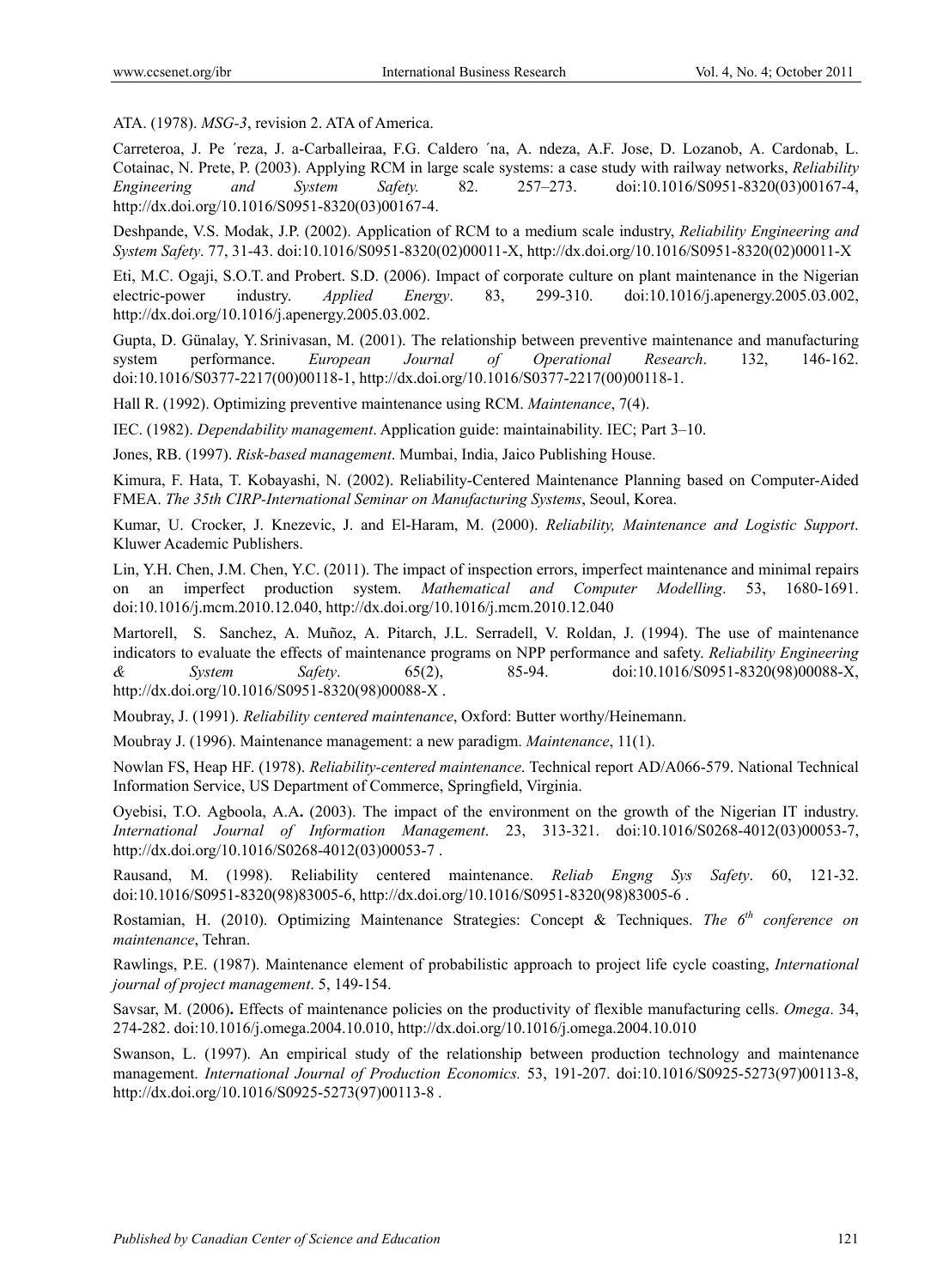ATA. (1978). *MSG-3*, revision 2. ATA of America.

Carreteroa, J. Pe ´reza, J. a-Carballeiraa, F.G. Caldero ´na, A. ndeza, A.F. Jose, D. Lozanob, A. Cardonab, L. Cotainac, N. Prete, P. (2003). Applying RCM in large scale systems: a case study with railway networks, *Reliability Engineering and System Safety.* 82. 257–273. doi:10.1016/S0951-8320(03)00167-4, http://dx.doi.org/10.1016/S0951-8320(03)00167-4.

Deshpande, V.S. Modak, J.P. (2002). Application of RCM to a medium scale industry, *Reliability Engineering and System Safety*. 77, 31-43. doi:10.1016/S0951-8320(02)00011-X, http://dx.doi.org/10.1016/S0951-8320(02)00011-X

Eti, M.C. Ogaji, S.O.T. and Probert. S.D. (2006). Impact of corporate culture on plant maintenance in the Nigerian electric-power industry. *Applied Energy*. 83, 299-310. doi:10.1016/j.apenergy.2005.03.002, http://dx.doi.org/10.1016/j.apenergy.2005.03.002.

Gupta, D. Günalay, Y. Srinivasan, M. (2001). The relationship between preventive maintenance and manufacturing system performance. *European Journal of Operational Research*. 132, 146-162. doi:10.1016/S0377-2217(00)00118-1, http://dx.doi.org/10.1016/S0377-2217(00)00118-1.

Hall R. (1992). Optimizing preventive maintenance using RCM. *Maintenance*, 7(4).

IEC. (1982). *Dependability management*. Application guide: maintainability. IEC; Part 3–10.

Jones, RB. (1997). *Risk-based management*. Mumbai, India, Jaico Publishing House.

Kimura, F. Hata, T. Kobayashi, N. (2002). Reliability-Centered Maintenance Planning based on Computer-Aided FMEA. *The 35th CIRP-International Seminar on Manufacturing Systems*, Seoul, Korea.

Kumar, U. Crocker, J. Knezevic, J. and El-Haram, M. (2000). *Reliability, Maintenance and Logistic Support*. Kluwer Academic Publishers.

Lin, Y.H. Chen, J.M. Chen, Y.C. (2011). The impact of inspection errors, imperfect maintenance and minimal repairs on an imperfect production system. *Mathematical and Computer Modelling*. 53, 1680-1691. doi:10.1016/j.mcm.2010.12.040, http://dx.doi.org/10.1016/j.mcm.2010.12.040

Martorell, S. Sanchez, A. Muñoz, A. Pitarch, J.L. Serradell, V. Roldan, J. (1994). The use of maintenance indicators to evaluate the effects of maintenance programs on NPP performance and safety. *Reliability Engineering & System Safety*. 65(2), 85-94. doi:10.1016/S0951-8320(98)00088-X, http://dx.doi.org/10.1016/S0951-8320(98)00088-X .

Moubray, J. (1991). *Reliability centered maintenance*, Oxford: Butter worthy/Heinemann.

Moubray J. (1996). Maintenance management: a new paradigm. *Maintenance*, 11(1).

Nowlan FS, Heap HF. (1978). *Reliability-centered maintenance*. Technical report AD/A066-579. National Technical Information Service, US Department of Commerce, Springfield, Virginia.

Oyebisi, T.O. Agboola, A.A**.** (2003). The impact of the environment on the growth of the Nigerian IT industry. *International Journal of Information Management*. 23, 313-321. doi:10.1016/S0268-4012(03)00053-7, http://dx.doi.org/10.1016/S0268-4012(03)00053-7 .

Rausand, M. (1998). Reliability centered maintenance. *Reliab Engng Sys Safety*. 60, 121-32. doi:10.1016/S0951-8320(98)83005-6, http://dx.doi.org/10.1016/S0951-8320(98)83005-6 .

Rostamian, H. (2010). Optimizing Maintenance Strategies: Concept & Techniques. *The 6th conference on maintenance*, Tehran.

Rawlings, P.E. (1987). Maintenance element of probabilistic approach to project life cycle coasting, *International journal of project management*. 5, 149-154.

Savsar, M. (2006)**.** Effects of maintenance policies on the productivity of flexible manufacturing cells. *Omega*. 34, 274-282. doi:10.1016/j.omega.2004.10.010, http://dx.doi.org/10.1016/j.omega.2004.10.010

Swanson, L. (1997). An empirical study of the relationship between production technology and maintenance management. *International Journal of Production Economics.* 53, 191-207. doi:10.1016/S0925-5273(97)00113-8, http://dx.doi.org/10.1016/S0925-5273(97)00113-8 .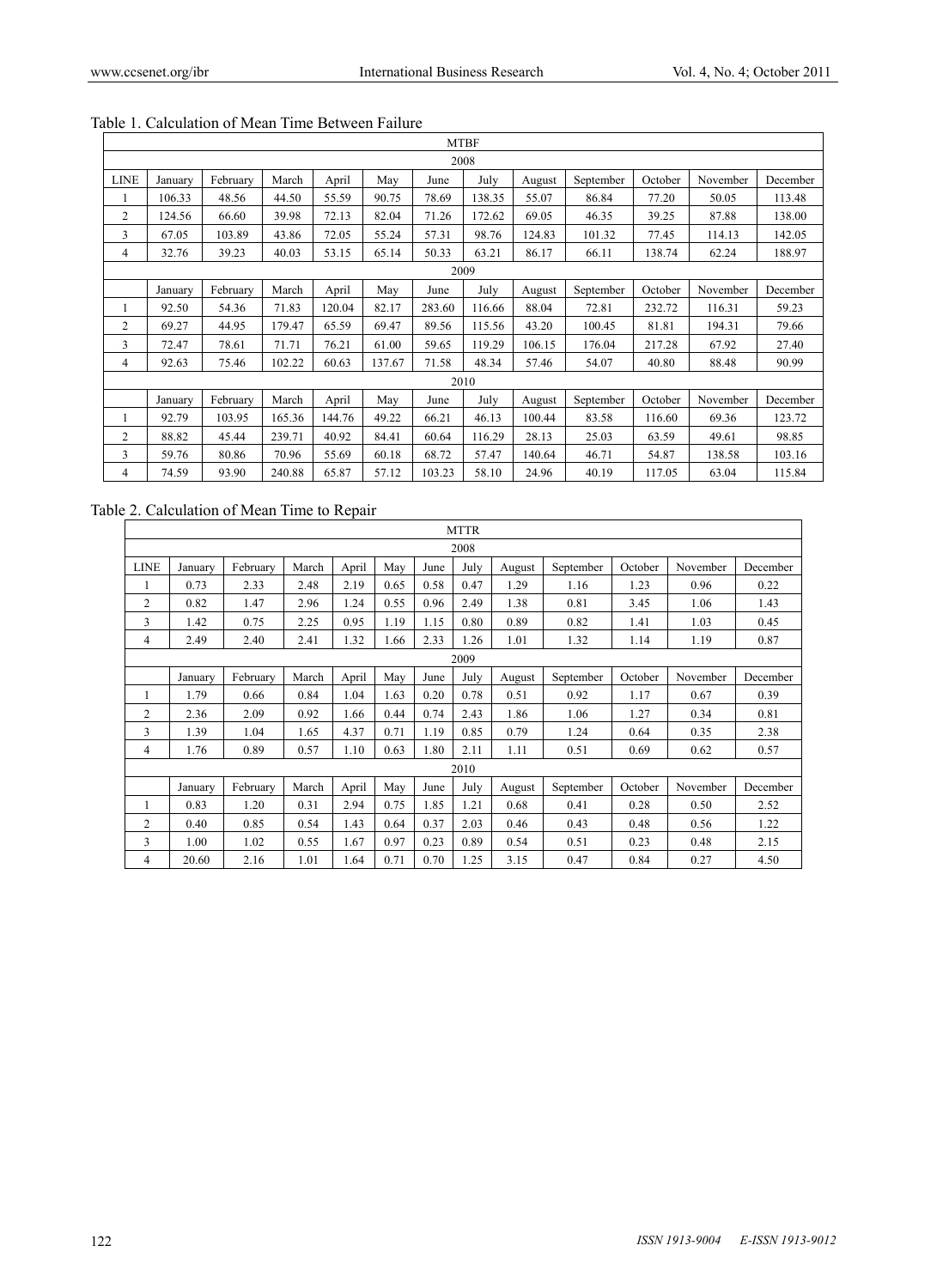| <b>MTBF</b>    |         |          |        |        |        |        |        |        |           |         |          |          |
|----------------|---------|----------|--------|--------|--------|--------|--------|--------|-----------|---------|----------|----------|
| 2008           |         |          |        |        |        |        |        |        |           |         |          |          |
| <b>LINE</b>    | January | February | March  | April  | May    | June   | July   | August | September | October | November | December |
|                | 106.33  | 48.56    | 44.50  | 55.59  | 90.75  | 78.69  | 138.35 | 55.07  | 86.84     | 77.20   | 50.05    | 113.48   |
| $\overline{2}$ | 124.56  | 66.60    | 39.98  | 72.13  | 82.04  | 71.26  | 172.62 | 69.05  | 46.35     | 39.25   | 87.88    | 138.00   |
| 3              | 67.05   | 103.89   | 43.86  | 72.05  | 55.24  | 57.31  | 98.76  | 124.83 | 101.32    | 77.45   | 114.13   | 142.05   |
| 4              | 32.76   | 39.23    | 40.03  | 53.15  | 65.14  | 50.33  | 63.21  | 86.17  | 66.11     | 138.74  | 62.24    | 188.97   |
| 2009           |         |          |        |        |        |        |        |        |           |         |          |          |
|                | January | February | March  | April  | May    | June   | July   | August | September | October | November | December |
|                | 92.50   | 54.36    | 71.83  | 120.04 | 82.17  | 283.60 | 116.66 | 88.04  | 72.81     | 232.72  | 116.31   | 59.23    |
| 2              | 69.27   | 44.95    | 179.47 | 65.59  | 69.47  | 89.56  | 115.56 | 43.20  | 100.45    | 81.81   | 194.31   | 79.66    |
| 3              | 72.47   | 78.61    | 71.71  | 76.21  | 61.00  | 59.65  | 119.29 | 106.15 | 176.04    | 217.28  | 67.92    | 27.40    |
| 4              | 92.63   | 75.46    | 102.22 | 60.63  | 137.67 | 71.58  | 48.34  | 57.46  | 54.07     | 40.80   | 88.48    | 90.99    |
|                | 2010    |          |        |        |        |        |        |        |           |         |          |          |
|                | January | February | March  | April  | May    | June   | July   | August | September | October | November | December |
| 1              | 92.79   | 103.95   | 165.36 | 144.76 | 49.22  | 66.21  | 46.13  | 100.44 | 83.58     | 116.60  | 69.36    | 123.72   |
| 2              | 88.82   | 45.44    | 239.71 | 40.92  | 84.41  | 60.64  | 116.29 | 28.13  | 25.03     | 63.59   | 49.61    | 98.85    |
| 3              | 59.76   | 80.86    | 70.96  | 55.69  | 60.18  | 68.72  | 57.47  | 140.64 | 46.71     | 54.87   | 138.58   | 103.16   |
| 4              | 74.59   | 93.90    | 240.88 | 65.87  | 57.12  | 103.23 | 58.10  | 24.96  | 40.19     | 117.05  | 63.04    | 115.84   |

# Table 1. Calculation of Mean Time Between Failure

# Table 2. Calculation of Mean Time to Repair

| <b>MTTR</b>    |         |          |       |       |      |      |      |        |           |         |          |          |
|----------------|---------|----------|-------|-------|------|------|------|--------|-----------|---------|----------|----------|
| 2008           |         |          |       |       |      |      |      |        |           |         |          |          |
| <b>LINE</b>    | January | February | March | April | May  | June | July | August | September | October | November | December |
|                | 0.73    | 2.33     | 2.48  | 2.19  | 0.65 | 0.58 | 0.47 | 1.29   | 1.16      | 1.23    | 0.96     | 0.22     |
| $\overline{2}$ | 0.82    | 1.47     | 2.96  | 1.24  | 0.55 | 0.96 | 2.49 | 1.38   | 0.81      | 3.45    | 1.06     | 1.43     |
| 3              | 1.42    | 0.75     | 2.25  | 0.95  | 1.19 | 1.15 | 0.80 | 0.89   | 0.82      | 1.41    | 1.03     | 0.45     |
| 4              | 2.49    | 2.40     | 2.41  | 1.32  | 1.66 | 2.33 | 1.26 | 1.01   | 1.32      | 1.14    | 1.19     | 0.87     |
| 2009           |         |          |       |       |      |      |      |        |           |         |          |          |
|                | January | February | March | April | May  | June | July | August | September | October | November | December |
| 1              | 1.79    | 0.66     | 0.84  | 1.04  | 1.63 | 0.20 | 0.78 | 0.51   | 0.92      | 1.17    | 0.67     | 0.39     |
| $\overline{c}$ | 2.36    | 2.09     | 0.92  | 1.66  | 0.44 | 0.74 | 2.43 | 1.86   | 1.06      | 1.27    | 0.34     | 0.81     |
| 3              | 1.39    | 1.04     | 1.65  | 4.37  | 0.71 | 1.19 | 0.85 | 0.79   | 1.24      | 0.64    | 0.35     | 2.38     |
| 4              | 1.76    | 0.89     | 0.57  | 1.10  | 0.63 | 1.80 | 2.11 | 1.11   | 0.51      | 0.69    | 0.62     | 0.57     |
|                | 2010    |          |       |       |      |      |      |        |           |         |          |          |
|                | January | February | March | April | May  | June | July | August | September | October | November | December |
|                | 0.83    | 1.20     | 0.31  | 2.94  | 0.75 | 1.85 | 1.21 | 0.68   | 0.41      | 0.28    | 0.50     | 2.52     |
| $\overline{c}$ | 0.40    | 0.85     | 0.54  | 1.43  | 0.64 | 0.37 | 2.03 | 0.46   | 0.43      | 0.48    | 0.56     | 1.22     |
| 3              | 1.00    | 1.02     | 0.55  | 1.67  | 0.97 | 0.23 | 0.89 | 0.54   | 0.51      | 0.23    | 0.48     | 2.15     |
| 4              | 20.60   | 2.16     | 1.01  | 1.64  | 0.71 | 0.70 | 1.25 | 3.15   | 0.47      | 0.84    | 0.27     | 4.50     |